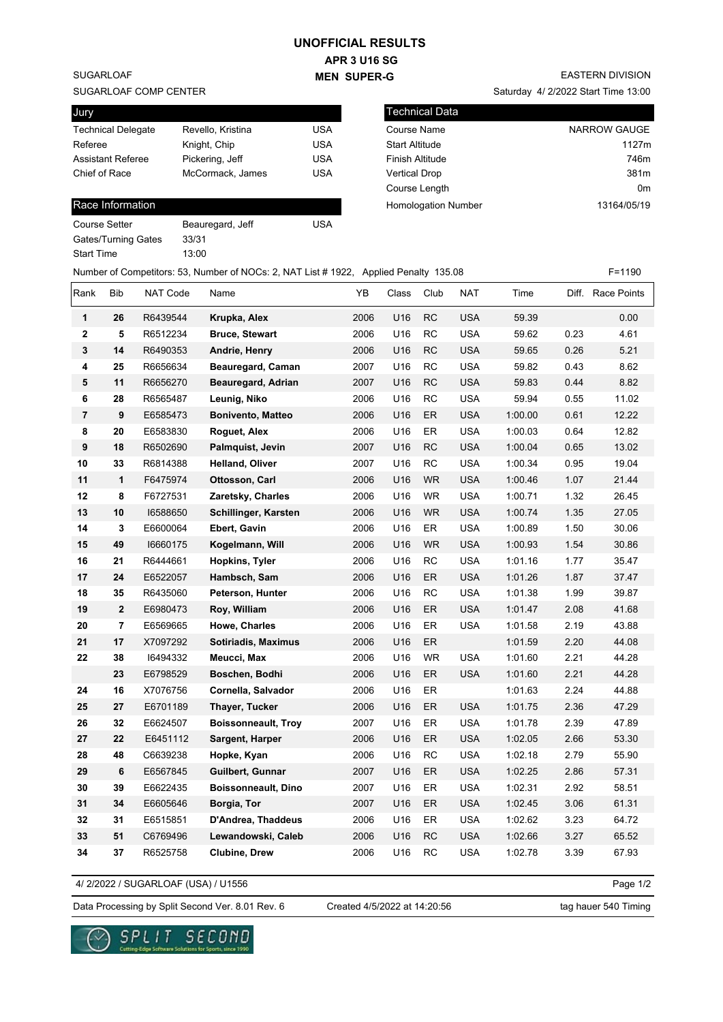## **UNOFFICIAL RESULTS**

**APR 3 U16 SG MEN SUPER-G** 

SUGARLOAF

#### SUGARLOAF COMP CENTER

| Jury                      |                   |            |
|---------------------------|-------------------|------------|
| <b>Technical Delegate</b> | Revello, Kristina | USA        |
| Referee                   | Knight, Chip      | <b>USA</b> |
| <b>Assistant Referee</b>  | Pickering, Jeff   | USA        |
| Chief of Race             | McCormack, James  | USA        |
|                           |                   |            |

### Race Information

| Course Setter       | Beauregard, Jeff | USA |
|---------------------|------------------|-----|
| Gates/Turning Gates | 33/31            |     |
| Start Time          | 13:00            |     |

# EASTERN DIVISION

Saturday 4/ 2/2022 Start Time 13:00

| l Technical Data           |                |
|----------------------------|----------------|
| Course Name                | NARROW GAUGE   |
| <b>Start Altitude</b>      | 1127m          |
| <b>Finish Altitude</b>     | 746m           |
| <b>Vertical Drop</b>       | 381m           |
| Course Length              | 0 <sub>m</sub> |
| <b>Homologation Number</b> | 13164/05/19    |

|                |                |                 | Number of Competitors: 53, Number of NOCs: 2, NAT List # 1922, Applied Penalty 135.08 |      |       |           |            |         |      | F=1190            |
|----------------|----------------|-----------------|---------------------------------------------------------------------------------------|------|-------|-----------|------------|---------|------|-------------------|
| Rank           | <b>Bib</b>     | <b>NAT Code</b> | Name                                                                                  | YB   | Class | Club      | <b>NAT</b> | Time    |      | Diff. Race Points |
| 1              | 26             | R6439544        | Krupka, Alex                                                                          | 2006 | U16   | <b>RC</b> | <b>USA</b> | 59.39   |      | 0.00              |
| $\mathbf{2}$   | 5              | R6512234        | <b>Bruce, Stewart</b>                                                                 | 2006 | U16   | RC        | <b>USA</b> | 59.62   | 0.23 | 4.61              |
| 3              | 14             | R6490353        | Andrie, Henry                                                                         | 2006 | U16   | <b>RC</b> | <b>USA</b> | 59.65   | 0.26 | 5.21              |
| 4              | 25             | R6656634        | Beauregard, Caman                                                                     | 2007 | U16   | <b>RC</b> | <b>USA</b> | 59.82   | 0.43 | 8.62              |
| 5              | 11             | R6656270        | Beauregard, Adrian                                                                    | 2007 | U16   | <b>RC</b> | <b>USA</b> | 59.83   | 0.44 | 8.82              |
| 6              | 28             | R6565487        | Leunig, Niko                                                                          | 2006 | U16   | RC        | <b>USA</b> | 59.94   | 0.55 | 11.02             |
| $\overline{7}$ | 9              | E6585473        | <b>Bonivento, Matteo</b>                                                              | 2006 | U16   | ER        | <b>USA</b> | 1:00.00 | 0.61 | 12.22             |
| 8              | 20             | E6583830        | Roguet, Alex                                                                          | 2006 | U16   | ER        | <b>USA</b> | 1:00.03 | 0.64 | 12.82             |
| 9              | 18             | R6502690        | Palmquist, Jevin                                                                      | 2007 | U16   | <b>RC</b> | <b>USA</b> | 1:00.04 | 0.65 | 13.02             |
| 10             | 33             | R6814388        | Helland, Oliver                                                                       | 2007 | U16   | <b>RC</b> | <b>USA</b> | 1:00.34 | 0.95 | 19.04             |
| 11             | $\mathbf{1}$   | F6475974        | Ottosson, Carl                                                                        | 2006 | U16   | <b>WR</b> | <b>USA</b> | 1:00.46 | 1.07 | 21.44             |
| 12             | 8              | F6727531        | Zaretsky, Charles                                                                     | 2006 | U16   | <b>WR</b> | <b>USA</b> | 1:00.71 | 1.32 | 26.45             |
| 13             | 10             | 16588650        | Schillinger, Karsten                                                                  | 2006 | U16   | <b>WR</b> | <b>USA</b> | 1:00.74 | 1.35 | 27.05             |
| 14             | 3              | E6600064        | Ebert, Gavin                                                                          | 2006 | U16   | ER        | <b>USA</b> | 1:00.89 | 1.50 | 30.06             |
| 15             | 49             | 16660175        | Kogelmann, Will                                                                       | 2006 | U16   | <b>WR</b> | <b>USA</b> | 1:00.93 | 1.54 | 30.86             |
| 16             | 21             | R6444661        | Hopkins, Tyler                                                                        | 2006 | U16   | RC        | <b>USA</b> | 1:01.16 | 1.77 | 35.47             |
| 17             | 24             | E6522057        | Hambsch, Sam                                                                          | 2006 | U16   | ER        | <b>USA</b> | 1:01.26 | 1.87 | 37.47             |
| 18             | 35             | R6435060        | Peterson, Hunter                                                                      | 2006 | U16   | RC        | <b>USA</b> | 1:01.38 | 1.99 | 39.87             |
| 19             | $\mathbf{2}$   | E6980473        | Roy, William                                                                          | 2006 | U16   | ER        | <b>USA</b> | 1:01.47 | 2.08 | 41.68             |
| 20             | $\overline{7}$ | E6569665        | Howe, Charles                                                                         | 2006 | U16   | ER        | <b>USA</b> | 1:01.58 | 2.19 | 43.88             |
| 21             | 17             | X7097292        | Sotiriadis, Maximus                                                                   | 2006 | U16   | ER        |            | 1:01.59 | 2.20 | 44.08             |
| 22             | 38             | 16494332        | Meucci, Max                                                                           | 2006 | U16   | <b>WR</b> | <b>USA</b> | 1:01.60 | 2.21 | 44.28             |
|                | 23             | E6798529        | Boschen, Bodhi                                                                        | 2006 | U16   | ER        | <b>USA</b> | 1:01.60 | 2.21 | 44.28             |
| 24             | 16             | X7076756        | Cornella, Salvador                                                                    | 2006 | U16   | ER        |            | 1:01.63 | 2.24 | 44.88             |
| 25             | 27             | E6701189        | Thayer, Tucker                                                                        | 2006 | U16   | ER        | <b>USA</b> | 1:01.75 | 2.36 | 47.29             |
| 26             | 32             | E6624507        | <b>Boissonneault, Troy</b>                                                            | 2007 | U16   | ER        | <b>USA</b> | 1:01.78 | 2.39 | 47.89             |
| 27             | 22             | E6451112        | Sargent, Harper                                                                       | 2006 | U16   | ER        | <b>USA</b> | 1:02.05 | 2.66 | 53.30             |
| 28             | 48             | C6639238        | Hopke, Kyan                                                                           | 2006 | U16   | RC        | <b>USA</b> | 1:02.18 | 2.79 | 55.90             |
| 29             | 6              | E6567845        | Guilbert, Gunnar                                                                      | 2007 | U16   | ER        | <b>USA</b> | 1:02.25 | 2.86 | 57.31             |
| 30             | 39             | E6622435        | <b>Boissonneault, Dino</b>                                                            | 2007 | U16   | ER        | <b>USA</b> | 1:02.31 | 2.92 | 58.51             |
| 31             | 34             | E6605646        | Borgia, Tor                                                                           | 2007 | U16   | ER        | <b>USA</b> | 1:02.45 | 3.06 | 61.31             |
| 32             | 31             | E6515851        | D'Andrea, Thaddeus                                                                    | 2006 | U16   | ER        | <b>USA</b> | 1:02.62 | 3.23 | 64.72             |
| 33             | 51             | C6769496        | Lewandowski, Caleb                                                                    | 2006 | U16   | RC        | <b>USA</b> | 1:02.66 | 3.27 | 65.52             |
| 34             | 37             | R6525758        | <b>Clubine, Drew</b>                                                                  | 2006 | U16   | RC        | <b>USA</b> | 1:02.78 | 3.39 | 67.93             |

4/ 2/2022 / SUGARLOAF (USA) / U1556

Page 1/2

Data Processing by Split Second Ver. 8.01 Rev. 6 Created 4/5/2022 at 14:20:56 tag hauer 540 Timing

Created 4/5/2022 at 14:20:56